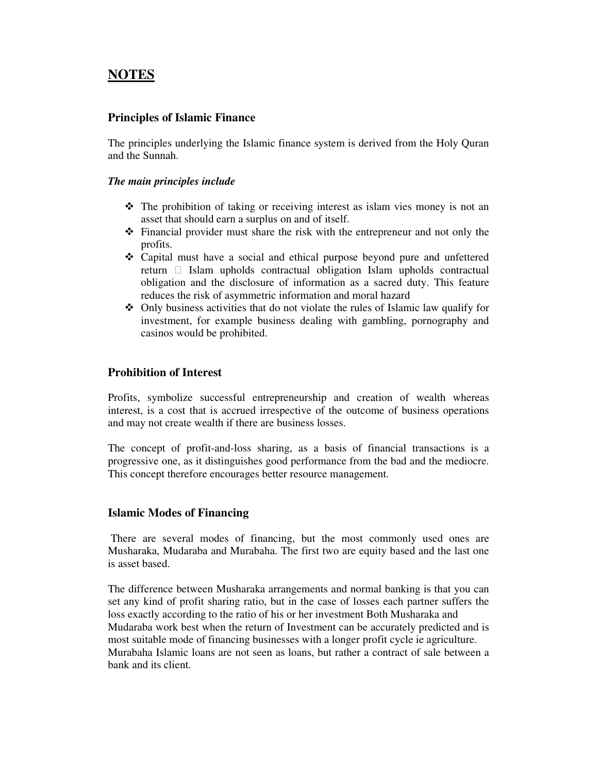# **NOTES**

# **Principles of Islamic Finance**

The principles underlying the Islamic finance system is derived from the Holy Quran and the Sunnah.

## *The main principles include*

- The prohibition of taking or receiving interest as islam vies money is not an asset that should earn a surplus on and of itself.
- Financial provider must share the risk with the entrepreneur and not only the profits.
- Capital must have a social and ethical purpose beyond pure and unfettered return Islam upholds contractual obligation Islam upholds contractual obligation and the disclosure of information as a sacred duty. This feature reduces the risk of asymmetric information and moral hazard
- Only business activities that do not violate the rules of Islamic law qualify for investment, for example business dealing with gambling, pornography and casinos would be prohibited.

# **Prohibition of Interest**

Profits, symbolize successful entrepreneurship and creation of wealth whereas interest, is a cost that is accrued irrespective of the outcome of business operations and may not create wealth if there are business losses.

The concept of profit-and-loss sharing, as a basis of financial transactions is a progressive one, as it distinguishes good performance from the bad and the mediocre. This concept therefore encourages better resource management.

## **Islamic Modes of Financing**

 There are several modes of financing, but the most commonly used ones are Musharaka, Mudaraba and Murabaha. The first two are equity based and the last one is asset based.

The difference between Musharaka arrangements and normal banking is that you can set any kind of profit sharing ratio, but in the case of losses each partner suffers the loss exactly according to the ratio of his or her investment Both Musharaka and Mudaraba work best when the return of Investment can be accurately predicted and is most suitable mode of financing businesses with a longer profit cycle ie agriculture. Murabaha Islamic loans are not seen as loans, but rather a contract of sale between a bank and its client.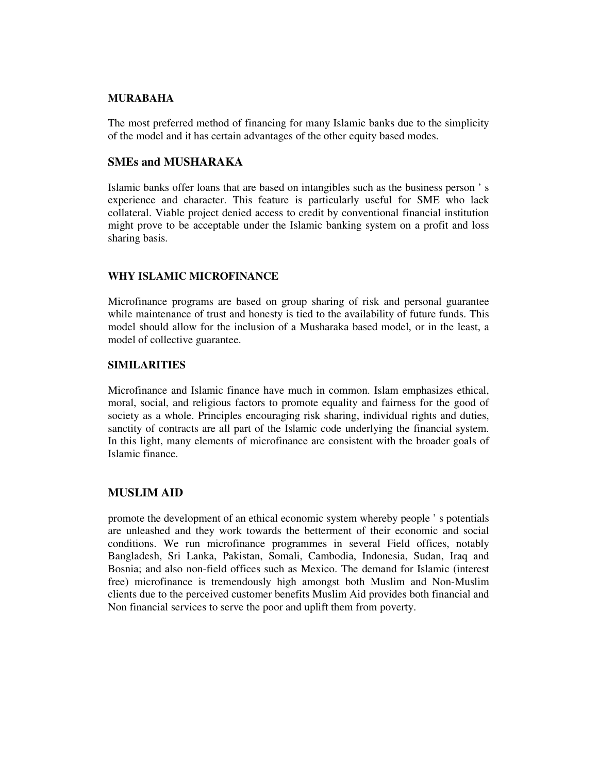#### **MURABAHA**

The most preferred method of financing for many Islamic banks due to the simplicity of the model and it has certain advantages of the other equity based modes.

#### **SMEs and MUSHARAKA**

Islamic banks offer loans that are based on intangibles such as the business person ' s experience and character. This feature is particularly useful for SME who lack collateral. Viable project denied access to credit by conventional financial institution might prove to be acceptable under the Islamic banking system on a profit and loss sharing basis.

## **WHY ISLAMIC MICROFINANCE**

Microfinance programs are based on group sharing of risk and personal guarantee while maintenance of trust and honesty is tied to the availability of future funds. This model should allow for the inclusion of a Musharaka based model, or in the least, a model of collective guarantee.

#### **SIMILARITIES**

Microfinance and Islamic finance have much in common. Islam emphasizes ethical, moral, social, and religious factors to promote equality and fairness for the good of society as a whole. Principles encouraging risk sharing, individual rights and duties, sanctity of contracts are all part of the Islamic code underlying the financial system. In this light, many elements of microfinance are consistent with the broader goals of Islamic finance.

#### **MUSLIM AID**

promote the development of an ethical economic system whereby people ' s potentials are unleashed and they work towards the betterment of their economic and social conditions. We run microfinance programmes in several Field offices, notably Bangladesh, Sri Lanka, Pakistan, Somali, Cambodia, Indonesia, Sudan, Iraq and Bosnia; and also non-field offices such as Mexico. The demand for Islamic (interest free) microfinance is tremendously high amongst both Muslim and Non-Muslim clients due to the perceived customer benefits Muslim Aid provides both financial and Non financial services to serve the poor and uplift them from poverty.